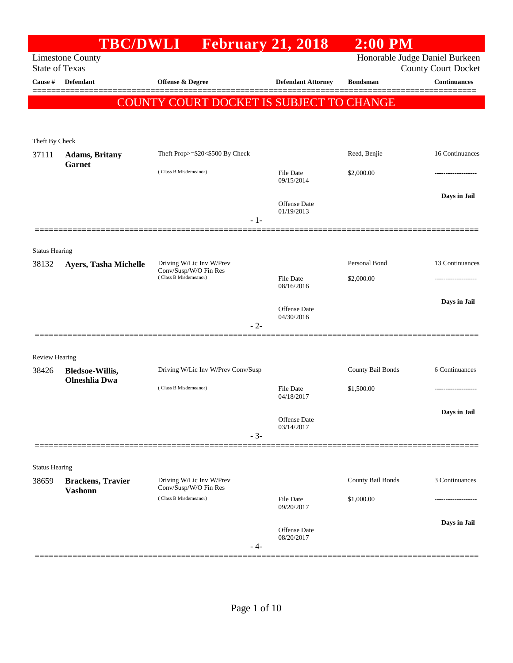|                                | <b>TBC/DWLI</b>                            | <b>February 21, 2018</b>                          |                                   | $2:00$ PM                      |                            |
|--------------------------------|--------------------------------------------|---------------------------------------------------|-----------------------------------|--------------------------------|----------------------------|
| <b>State of Texas</b>          | <b>Limestone County</b>                    |                                                   |                                   | Honorable Judge Daniel Burkeen | <b>County Court Docket</b> |
| Cause #                        | <b>Defendant</b>                           | <b>Offense &amp; Degree</b>                       | <b>Defendant Attorney</b>         | <b>Bondsman</b>                | <b>Continuances</b>        |
|                                |                                            | COUNTY COURT DOCKET IS SUBJECT TO CHANGE          |                                   |                                |                            |
|                                |                                            |                                                   |                                   |                                |                            |
|                                |                                            |                                                   |                                   |                                |                            |
| Theft By Check<br>37111        | <b>Adams</b> , Britany                     | Theft Prop>=\$20<\$500 By Check                   |                                   | Reed, Benjie                   | 16 Continuances            |
|                                | Garnet                                     | (Class B Misdemeanor)                             | <b>File Date</b>                  | \$2,000.00                     |                            |
|                                |                                            |                                                   | 09/15/2014                        |                                |                            |
|                                |                                            |                                                   | Offense Date                      |                                | Days in Jail               |
|                                |                                            | $-1-$                                             | 01/19/2013                        |                                |                            |
|                                |                                            |                                                   |                                   |                                |                            |
| <b>Status Hearing</b>          |                                            |                                                   |                                   |                                |                            |
| 38132                          | <b>Ayers, Tasha Michelle</b>               | Driving W/Lic Inv W/Prev<br>Conv/Susp/W/O Fin Res |                                   | Personal Bond                  | 13 Continuances            |
|                                |                                            | (Class B Misdemeanor)                             | File Date<br>08/16/2016           | \$2,000.00                     |                            |
|                                |                                            |                                                   |                                   |                                | Days in Jail               |
|                                |                                            |                                                   | <b>Offense Date</b><br>04/30/2016 |                                |                            |
|                                |                                            | $-2-$                                             |                                   |                                |                            |
|                                |                                            |                                                   |                                   |                                |                            |
| <b>Review Hearing</b><br>38426 | <b>Bledsoe-Willis,</b>                     | Driving W/Lic Inv W/Prev Conv/Susp                |                                   | County Bail Bonds              | 6 Continuances             |
|                                | <b>Olneshlia</b> Dwa                       |                                                   |                                   |                                |                            |
|                                |                                            | (Class B Misdemeanor)                             | <b>File Date</b><br>04/18/2017    | \$1,500.00                     |                            |
|                                |                                            |                                                   | Offense Date                      |                                | Days in Jail               |
|                                |                                            | $-3-$                                             | 03/14/2017                        |                                |                            |
|                                |                                            |                                                   |                                   |                                |                            |
| <b>Status Hearing</b>          |                                            |                                                   |                                   |                                |                            |
| 38659                          | <b>Brackens, Travier</b><br><b>Vashonn</b> | Driving W/Lic Inv W/Prev<br>Conv/Susp/W/O Fin Res |                                   | County Bail Bonds              | 3 Continuances             |
|                                |                                            | (Class B Misdemeanor)                             | <b>File Date</b><br>09/20/2017    | \$1,000.00                     |                            |
|                                |                                            |                                                   |                                   |                                | Days in Jail               |
|                                |                                            |                                                   | Offense Date<br>08/20/2017        |                                |                            |
|                                |                                            | - 4-                                              |                                   |                                |                            |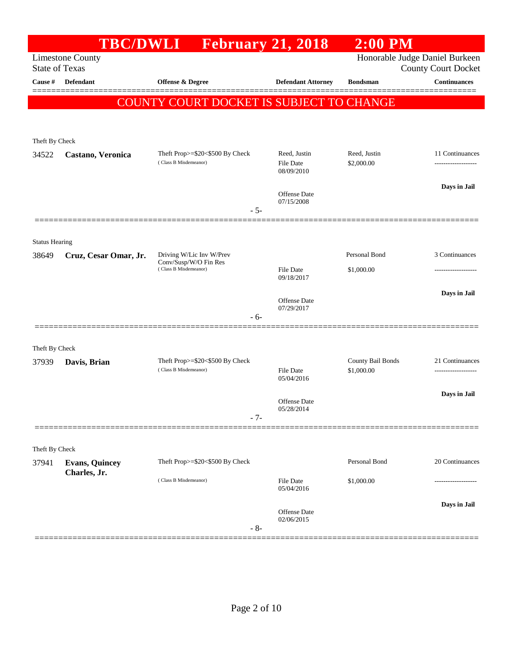|                                | <b>TBC/DWLI</b>         | <b>February 21, 2018</b>                                 |                                         | $2:00$ PM                       |                            |
|--------------------------------|-------------------------|----------------------------------------------------------|-----------------------------------------|---------------------------------|----------------------------|
| <b>State of Texas</b>          | <b>Limestone County</b> |                                                          |                                         | Honorable Judge Daniel Burkeen  | <b>County Court Docket</b> |
| Cause #                        | <b>Defendant</b>        | Offense & Degree                                         | <b>Defendant Attorney</b>               | <b>Bondsman</b>                 | <b>Continuances</b>        |
|                                |                         | COUNTY COURT DOCKET IS SUBJECT TO CHANGE                 |                                         |                                 |                            |
|                                |                         |                                                          |                                         |                                 |                            |
| Theft By Check                 |                         |                                                          |                                         |                                 |                            |
| 34522                          | Castano, Veronica       | Theft Prop>=\$20<\$500 By Check<br>(Class B Misdemeanor) | Reed, Justin<br>File Date<br>08/09/2010 | Reed, Justin<br>\$2,000.00      | 11 Continuances            |
|                                |                         | $-5-$                                                    | Offense Date<br>07/15/2008              |                                 | Days in Jail               |
|                                |                         |                                                          |                                         |                                 |                            |
| <b>Status Hearing</b><br>38649 | Cruz, Cesar Omar, Jr.   | Driving W/Lic Inv W/Prev                                 |                                         | Personal Bond                   | 3 Continuances             |
|                                |                         | Conv/Susp/W/O Fin Res<br>(Class B Misdemeanor)           | File Date<br>09/18/2017                 | \$1,000.00                      | .                          |
|                                |                         |                                                          | <b>Offense</b> Date                     |                                 | Days in Jail               |
|                                |                         | - 6-                                                     | 07/29/2017                              |                                 |                            |
| Theft By Check                 |                         |                                                          |                                         |                                 |                            |
| 37939                          | Davis, Brian            | Theft Prop>=\$20<\$500 By Check<br>(Class B Misdemeanor) | File Date                               | County Bail Bonds<br>\$1,000.00 | 21 Continuances            |
|                                |                         |                                                          | 05/04/2016                              |                                 | Days in Jail               |
|                                |                         | $-7-$                                                    | Offense Date<br>05/28/2014              |                                 |                            |
|                                |                         |                                                          |                                         |                                 |                            |
| Theft By Check<br>37941        | <b>Evans, Quincey</b>   | Theft Prop>=\$20<\$500 By Check                          |                                         | Personal Bond                   | 20 Continuances            |
|                                | Charles, Jr.            | (Class B Misdemeanor)                                    | <b>File Date</b><br>05/04/2016          | \$1,000.00                      |                            |
|                                |                         |                                                          | Offense Date                            |                                 | Days in Jail               |
|                                |                         | $-8-$                                                    | 02/06/2015                              |                                 |                            |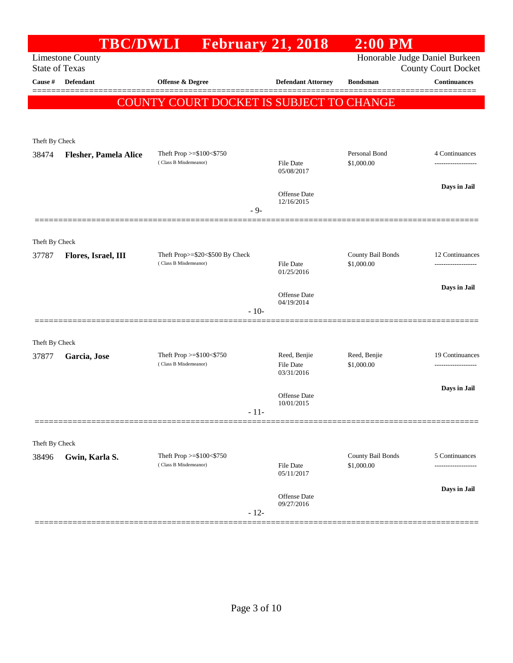|                         | <b>TBC/DWLI</b>              |                                                          | <b>February 21, 2018</b>         | <b>2:00 PM</b>                  |                                                              |
|-------------------------|------------------------------|----------------------------------------------------------|----------------------------------|---------------------------------|--------------------------------------------------------------|
| <b>State of Texas</b>   | <b>Limestone County</b>      |                                                          |                                  |                                 | Honorable Judge Daniel Burkeen<br><b>County Court Docket</b> |
| Cause #                 | <b>Defendant</b>             | Offense & Degree                                         | <b>Defendant Attorney</b>        | <b>Bondsman</b>                 | <b>Continuances</b>                                          |
|                         |                              | COUNTY COURT DOCKET IS SUBJECT TO CHANGE                 |                                  |                                 |                                                              |
|                         |                              |                                                          |                                  |                                 |                                                              |
|                         |                              |                                                          |                                  |                                 |                                                              |
| Theft By Check<br>38474 | <b>Flesher, Pamela Alice</b> | Theft Prop >=\$100<\$750                                 |                                  | Personal Bond                   | 4 Continuances                                               |
|                         |                              | (Class B Misdemeanor)                                    | <b>File Date</b><br>05/08/2017   | \$1,000.00                      |                                                              |
|                         |                              |                                                          |                                  |                                 | Days in Jail                                                 |
|                         |                              |                                                          | Offense Date<br>12/16/2015       |                                 |                                                              |
|                         |                              | $-9-$                                                    |                                  |                                 |                                                              |
|                         |                              |                                                          |                                  |                                 |                                                              |
| Theft By Check          |                              |                                                          |                                  |                                 |                                                              |
| 37787                   | Flores, Israel, III          | Theft Prop>=\$20<\$500 By Check<br>(Class B Misdemeanor) | <b>File Date</b>                 | County Bail Bonds<br>\$1,000.00 | 12 Continuances<br>-------------------                       |
|                         |                              |                                                          | 01/25/2016                       |                                 |                                                              |
|                         |                              |                                                          | Offense Date                     |                                 | Days in Jail                                                 |
|                         |                              | $-10-$                                                   | 04/19/2014                       |                                 |                                                              |
|                         |                              |                                                          |                                  |                                 |                                                              |
| Theft By Check          |                              |                                                          |                                  |                                 |                                                              |
| 37877                   | Garcia, Jose                 | Theft Prop >=\$100<\$750<br>(Class B Misdemeanor)        | Reed, Benjie<br><b>File Date</b> | Reed, Benjie<br>\$1,000.00      | 19 Continuances<br>                                          |
|                         |                              |                                                          | 03/31/2016                       |                                 |                                                              |
|                         |                              |                                                          | Offense Date                     |                                 | Days in Jail                                                 |
|                         |                              | $-11-$                                                   | 10/01/2015                       |                                 |                                                              |
|                         |                              |                                                          |                                  |                                 |                                                              |
| Theft By Check          |                              |                                                          |                                  |                                 |                                                              |
| 38496                   | Gwin, Karla S.               | Theft Prop $>=$ \$100 $<$ \$750                          |                                  | County Bail Bonds               | 5 Continuances                                               |
|                         |                              | (Class B Misdemeanor)                                    | <b>File Date</b><br>05/11/2017   | \$1,000.00                      | --------                                                     |
|                         |                              |                                                          |                                  |                                 | Days in Jail                                                 |
|                         |                              |                                                          | Offense Date<br>09/27/2016       |                                 |                                                              |
|                         |                              | $-12-$                                                   |                                  |                                 |                                                              |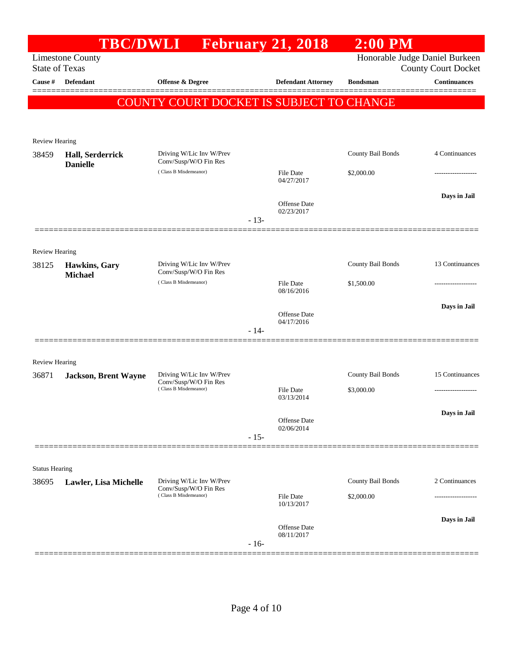|                         |                                 | TBC/DWLI February 21, 2018                        |        |                            | $2:00$ PM         |                                |
|-------------------------|---------------------------------|---------------------------------------------------|--------|----------------------------|-------------------|--------------------------------|
|                         | <b>Limestone County</b>         |                                                   |        |                            |                   | Honorable Judge Daniel Burkeen |
| <b>State of Texas</b>   |                                 |                                                   |        |                            |                   | <b>County Court Docket</b>     |
| Cause #                 | Defendant                       | Offense & Degree                                  |        | <b>Defendant Attorney</b>  | <b>Bondsman</b>   | <b>Continuances</b>            |
|                         |                                 | COUNTY COURT DOCKET IS SUBJECT TO CHANGE          |        |                            |                   |                                |
|                         |                                 |                                                   |        |                            |                   |                                |
|                         |                                 |                                                   |        |                            |                   |                                |
| Review Hearing<br>38459 | Hall, Serderrick                | Driving W/Lic Inv W/Prev                          |        |                            | County Bail Bonds | 4 Continuances                 |
|                         | <b>Danielle</b>                 | Conv/Susp/W/O Fin Res                             |        |                            |                   |                                |
|                         |                                 | (Class B Misdemeanor)                             |        | File Date<br>04/27/2017    | \$2,000.00        |                                |
|                         |                                 |                                                   |        |                            |                   | Days in Jail                   |
|                         |                                 |                                                   |        | Offense Date<br>02/23/2017 |                   |                                |
|                         |                                 |                                                   | $-13-$ |                            |                   |                                |
|                         |                                 |                                                   |        |                            |                   |                                |
| Review Hearing          |                                 |                                                   |        |                            |                   |                                |
| 38125                   | Hawkins, Gary<br><b>Michael</b> | Driving W/Lic Inv W/Prev<br>Conv/Susp/W/O Fin Res |        |                            | County Bail Bonds | 13 Continuances                |
|                         |                                 | (Class B Misdemeanor)                             |        | File Date<br>08/16/2016    | \$1,500.00        |                                |
|                         |                                 |                                                   |        |                            |                   |                                |
|                         |                                 |                                                   |        | Offense Date<br>04/17/2016 |                   | Days in Jail                   |
|                         |                                 |                                                   | $-14-$ |                            |                   |                                |
|                         |                                 |                                                   |        |                            |                   |                                |
| Review Hearing          |                                 |                                                   |        |                            |                   |                                |
| 36871                   | <b>Jackson, Brent Wayne</b>     | Driving W/Lic Inv W/Prev<br>Conv/Susp/W/O Fin Res |        |                            | County Bail Bonds | 15 Continuances                |
|                         |                                 | (Class B Misdemeanor)                             |        | File Date<br>03/13/2014    | \$3,000.00        | ----------------               |
|                         |                                 |                                                   |        |                            |                   |                                |
|                         |                                 |                                                   |        | Offense Date               |                   | Days in Jail                   |
|                         |                                 |                                                   | $-15-$ | 02/06/2014                 |                   |                                |
|                         |                                 |                                                   |        |                            |                   |                                |
| <b>Status Hearing</b>   |                                 |                                                   |        |                            |                   |                                |
| 38695                   | Lawler, Lisa Michelle           | Driving W/Lic Inv W/Prev                          |        |                            | County Bail Bonds | 2 Continuances                 |
|                         |                                 | Conv/Susp/W/O Fin Res<br>(Class B Misdemeanor)    |        | File Date                  | \$2,000.00        |                                |
|                         |                                 |                                                   |        | 10/13/2017                 |                   |                                |
|                         |                                 |                                                   |        | <b>Offense</b> Date        |                   | Days in Jail                   |
|                         |                                 |                                                   | $-16-$ | 08/11/2017                 |                   |                                |
|                         |                                 |                                                   |        |                            |                   |                                |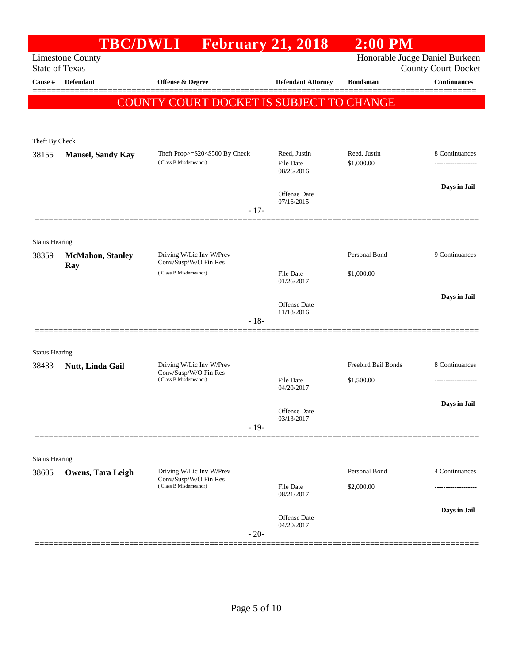|                       | <b>TBC/DWLI</b>          |                                                          | <b>February 21, 2018</b>                | $2:00$ PM                  |                                                              |
|-----------------------|--------------------------|----------------------------------------------------------|-----------------------------------------|----------------------------|--------------------------------------------------------------|
| <b>State of Texas</b> | <b>Limestone County</b>  |                                                          |                                         |                            | Honorable Judge Daniel Burkeen<br><b>County Court Docket</b> |
| Cause #               | <b>Defendant</b>         | <b>Offense &amp; Degree</b>                              | <b>Defendant Attorney</b>               | <b>Bondsman</b>            | <b>Continuances</b>                                          |
|                       |                          | COUNTY COURT DOCKET IS SUBJECT TO CHANGE                 |                                         |                            |                                                              |
| Theft By Check        |                          |                                                          |                                         |                            |                                                              |
| 38155                 | <b>Mansel, Sandy Kay</b> | Theft Prop>=\$20<\$500 By Check<br>(Class B Misdemeanor) | Reed, Justin<br>File Date<br>08/26/2016 | Reed, Justin<br>\$1,000.00 | 8 Continuances<br>.                                          |
|                       |                          | $-17-$                                                   | <b>Offense</b> Date<br>07/16/2015       |                            | Days in Jail                                                 |
| <b>Status Hearing</b> |                          |                                                          |                                         |                            |                                                              |
| 38359                 | <b>McMahon</b> , Stanley | Driving W/Lic Inv W/Prev<br>Conv/Susp/W/O Fin Res        |                                         | Personal Bond              | 9 Continuances                                               |
|                       | Ray                      | (Class B Misdemeanor)                                    | <b>File Date</b><br>01/26/2017          | \$1,000.00                 |                                                              |
|                       |                          | $-18-$                                                   | Offense Date<br>11/18/2016              |                            | Days in Jail                                                 |
| <b>Status Hearing</b> |                          |                                                          |                                         |                            |                                                              |
| 38433                 | Nutt, Linda Gail         | Driving W/Lic Inv W/Prev<br>Conv/Susp/W/O Fin Res        |                                         | Freebird Bail Bonds        | 8 Continuances                                               |
|                       |                          | (Class B Misdemeanor)                                    | <b>File Date</b><br>04/20/2017          | \$1,500.00                 |                                                              |
|                       |                          | $-19-$                                                   | Offense Date<br>03/13/2017              |                            | Days in Jail                                                 |
| <b>Status Hearing</b> |                          |                                                          |                                         |                            |                                                              |
| 38605                 | Owens, Tara Leigh        | Driving W/Lic Inv W/Prev                                 |                                         | Personal Bond              | 4 Continuances                                               |
|                       |                          | Conv/Susp/W/O Fin Res<br>(Class B Misdemeanor)           | <b>File Date</b><br>08/21/2017          | \$2,000.00                 |                                                              |
|                       |                          | $-20-$                                                   | Offense Date<br>04/20/2017              |                            | Days in Jail                                                 |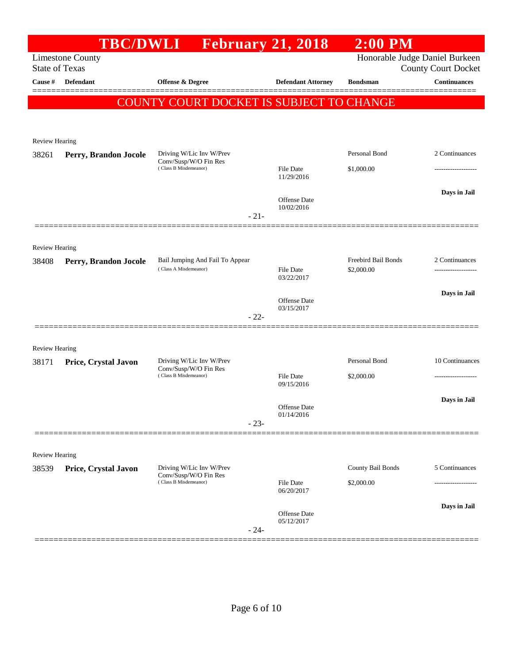|                       |                         | TBC/DWLI February 21, 2018                                                 |        |                            | $2:00$ PM                   |                                                              |
|-----------------------|-------------------------|----------------------------------------------------------------------------|--------|----------------------------|-----------------------------|--------------------------------------------------------------|
| <b>State of Texas</b> | <b>Limestone County</b> |                                                                            |        |                            |                             | Honorable Judge Daniel Burkeen<br><b>County Court Docket</b> |
| Cause #               | <b>Defendant</b>        | Offense & Degree                                                           |        | <b>Defendant Attorney</b>  | <b>Bondsman</b>             | <b>Continuances</b>                                          |
|                       |                         | COUNTY COURT DOCKET IS SUBJECT TO CHANGE                                   |        |                            |                             |                                                              |
|                       |                         |                                                                            |        |                            |                             |                                                              |
|                       |                         |                                                                            |        |                            |                             |                                                              |
| <b>Review Hearing</b> |                         | Driving W/Lic Inv W/Prev                                                   |        |                            | Personal Bond               | 2 Continuances                                               |
| 38261                 | Perry, Brandon Jocole   | Conv/Susp/W/O Fin Res<br>(Class B Misdemeanor)                             |        | File Date                  | \$1,000.00                  | ------------------                                           |
|                       |                         |                                                                            |        | 11/29/2016                 |                             |                                                              |
|                       |                         |                                                                            |        | <b>Offense</b> Date        |                             | Days in Jail                                                 |
|                       |                         |                                                                            | $-21-$ | 10/02/2016                 |                             |                                                              |
|                       |                         |                                                                            |        |                            |                             |                                                              |
| <b>Review Hearing</b> |                         |                                                                            |        |                            |                             |                                                              |
| 38408                 | Perry, Brandon Jocole   | Bail Jumping And Fail To Appear                                            |        |                            | Freebird Bail Bonds         | 2 Continuances                                               |
|                       |                         | (Class A Misdemeanor)                                                      |        | File Date<br>03/22/2017    | \$2,000.00                  |                                                              |
|                       |                         |                                                                            |        |                            |                             | Days in Jail                                                 |
|                       |                         |                                                                            |        | Offense Date<br>03/15/2017 |                             |                                                              |
|                       |                         |                                                                            | $-22-$ |                            |                             |                                                              |
|                       |                         |                                                                            |        |                            |                             |                                                              |
| <b>Review Hearing</b> |                         |                                                                            |        |                            |                             |                                                              |
| 38171                 | Price, Crystal Javon    | Driving W/Lic Inv W/Prev<br>Conv/Susp/W/O Fin Res<br>(Class B Misdemeanor) |        |                            | Personal Bond<br>\$2,000.00 | 10 Continuances                                              |
|                       |                         |                                                                            |        | File Date<br>09/15/2016    |                             |                                                              |
|                       |                         |                                                                            |        | <b>Offense</b> Date        |                             | Days in Jail                                                 |
|                       |                         |                                                                            | $-23-$ | 01/14/2016                 |                             |                                                              |
|                       |                         |                                                                            |        |                            |                             |                                                              |
| Review Hearing        |                         |                                                                            |        |                            |                             |                                                              |
| 38539                 | Price, Crystal Javon    | Driving W/Lic Inv W/Prev                                                   |        |                            | County Bail Bonds           | 5 Continuances                                               |
|                       |                         | Conv/Susp/W/O Fin Res<br>(Class B Misdemeanor)                             |        | File Date                  | \$2,000.00                  |                                                              |
|                       |                         |                                                                            |        | 06/20/2017                 |                             |                                                              |
|                       |                         |                                                                            |        | <b>Offense</b> Date        |                             | Days in Jail                                                 |
|                       |                         |                                                                            | $-24-$ | 05/12/2017                 |                             |                                                              |
|                       |                         |                                                                            |        |                            |                             |                                                              |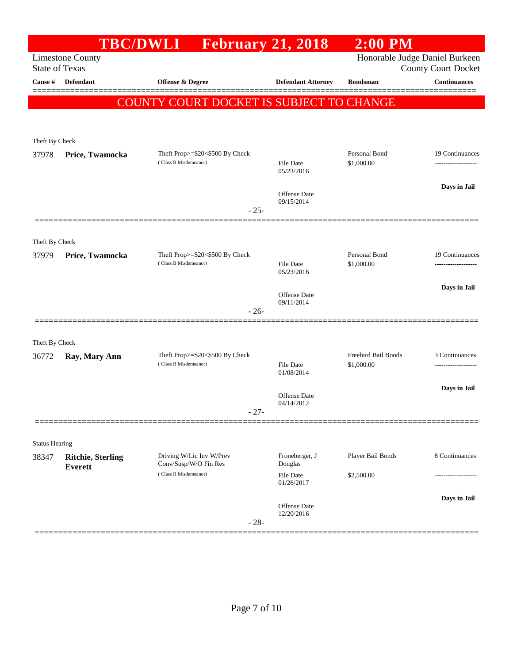|                       | <b>TBC/DWLI</b>                            |                                                          | <b>February 21, 2018</b>          | $2:00$ PM                         |                                                              |
|-----------------------|--------------------------------------------|----------------------------------------------------------|-----------------------------------|-----------------------------------|--------------------------------------------------------------|
| <b>State of Texas</b> | <b>Limestone County</b>                    |                                                          |                                   |                                   | Honorable Judge Daniel Burkeen<br><b>County Court Docket</b> |
| Cause #               | Defendant                                  | <b>Offense &amp; Degree</b>                              | <b>Defendant Attorney</b>         | <b>Bondsman</b>                   | <b>Continuances</b>                                          |
|                       |                                            | COUNTY COURT DOCKET IS SUBJECT TO CHANGE                 |                                   |                                   |                                                              |
|                       |                                            |                                                          |                                   |                                   |                                                              |
|                       |                                            |                                                          |                                   |                                   |                                                              |
| Theft By Check        |                                            |                                                          |                                   | Personal Bond                     | 19 Continuances                                              |
| 37978                 | Price, Twamocka                            | Theft Prop>=\$20<\$500 By Check<br>(Class B Misdemeanor) | <b>File Date</b><br>05/23/2016    | \$1,000.00                        |                                                              |
|                       |                                            |                                                          | <b>Offense</b> Date<br>09/15/2014 |                                   | Days in Jail                                                 |
|                       |                                            | $-25-$                                                   |                                   |                                   |                                                              |
| Theft By Check        |                                            |                                                          |                                   |                                   |                                                              |
| 37979                 | Price, Twamocka                            | Theft Prop>=\$20<\$500 By Check                          |                                   | Personal Bond                     | 19 Continuances                                              |
|                       |                                            | (Class B Misdemeanor)                                    | <b>File Date</b><br>05/23/2016    | \$1,000.00                        |                                                              |
|                       |                                            |                                                          | <b>Offense</b> Date               |                                   | Days in Jail                                                 |
|                       |                                            | $-26-$                                                   | 09/11/2014                        |                                   |                                                              |
|                       |                                            |                                                          |                                   |                                   |                                                              |
| Theft By Check        |                                            |                                                          |                                   |                                   |                                                              |
| 36772                 | Ray, Mary Ann                              | Theft Prop>=\$20<\$500 By Check<br>(Class B Misdemeanor) | <b>File Date</b><br>01/08/2014    | Freebird Bail Bonds<br>\$1,000.00 | 3 Continuances<br>------------------                         |
|                       |                                            |                                                          |                                   |                                   | Days in Jail                                                 |
|                       |                                            | $-27-$                                                   | Offense Date<br>04/14/2012        |                                   |                                                              |
|                       |                                            |                                                          |                                   |                                   |                                                              |
| <b>Status Hearing</b> |                                            |                                                          |                                   |                                   |                                                              |
| 38347                 | <b>Ritchie, Sterling</b><br><b>Everett</b> | Driving W/Lic Inv W/Prev<br>Conv/Susp/W/O Fin Res        | Froneberger, J<br>Douglas         | Player Bail Bonds                 | 8 Continuances                                               |
|                       |                                            | (Class B Misdemeanor)                                    | <b>File Date</b><br>01/26/2017    | \$2,500.00                        |                                                              |
|                       |                                            |                                                          | <b>Offense</b> Date               |                                   | Days in Jail                                                 |
|                       |                                            | $-28-$                                                   | 12/20/2016                        |                                   |                                                              |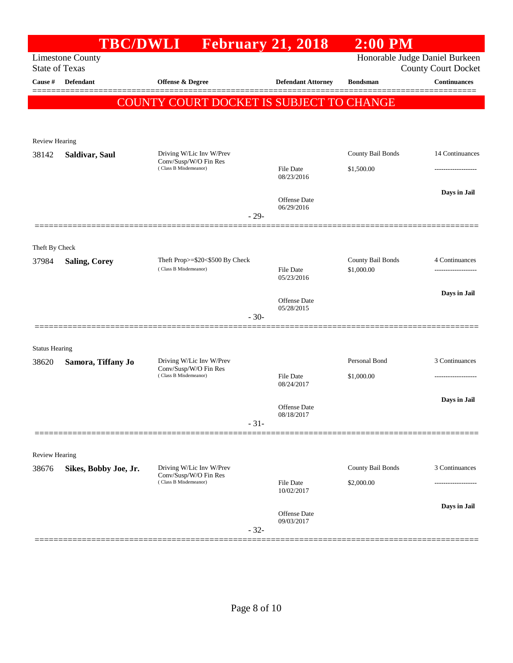|                       |                         | TBC/DWLI February 21, 2018                               |        |                                | $2:00$ PM                       |                                                              |
|-----------------------|-------------------------|----------------------------------------------------------|--------|--------------------------------|---------------------------------|--------------------------------------------------------------|
| <b>State of Texas</b> | <b>Limestone County</b> |                                                          |        |                                |                                 | Honorable Judge Daniel Burkeen<br><b>County Court Docket</b> |
| Cause #               | Defendant               | Offense & Degree                                         |        | <b>Defendant Attorney</b>      | <b>Bondsman</b>                 | <b>Continuances</b>                                          |
|                       |                         | COUNTY COURT DOCKET IS SUBJECT TO CHANGE                 |        |                                |                                 |                                                              |
|                       |                         |                                                          |        |                                |                                 |                                                              |
| <b>Review Hearing</b> |                         |                                                          |        |                                |                                 |                                                              |
| 38142                 | Saldivar, Saul          | Driving W/Lic Inv W/Prev                                 |        |                                | County Bail Bonds               | 14 Continuances                                              |
|                       |                         | Conv/Susp/W/O Fin Res<br>(Class B Misdemeanor)           |        | File Date                      | \$1,500.00                      |                                                              |
|                       |                         |                                                          |        | 08/23/2016                     |                                 |                                                              |
|                       |                         |                                                          |        | Offense Date                   |                                 | Days in Jail                                                 |
|                       |                         |                                                          | $-29-$ | 06/29/2016                     |                                 |                                                              |
|                       |                         |                                                          |        |                                |                                 |                                                              |
| Theft By Check        |                         |                                                          |        |                                |                                 |                                                              |
| 37984                 | <b>Saling, Corey</b>    | Theft Prop>=\$20<\$500 By Check<br>(Class B Misdemeanor) |        | <b>File Date</b>               | County Bail Bonds<br>\$1,000.00 | 4 Continuances                                               |
|                       |                         |                                                          |        | 05/23/2016                     |                                 |                                                              |
|                       |                         |                                                          |        | <b>Offense</b> Date            |                                 | Days in Jail                                                 |
|                       |                         |                                                          | $-30-$ | 05/28/2015                     |                                 |                                                              |
|                       |                         |                                                          |        |                                |                                 |                                                              |
| <b>Status Hearing</b> |                         |                                                          |        |                                |                                 |                                                              |
| 38620                 | Samora, Tiffany Jo      | Driving W/Lic Inv W/Prev                                 |        |                                | Personal Bond                   | 3 Continuances                                               |
|                       |                         | Conv/Susp/W/O Fin Res<br>(Class B Misdemeanor)           |        | File Date<br>08/24/2017        | \$1,000.00                      |                                                              |
|                       |                         |                                                          |        |                                |                                 | Days in Jail                                                 |
|                       |                         |                                                          |        | Offense Date<br>08/18/2017     |                                 |                                                              |
|                       |                         |                                                          | $-31-$ |                                |                                 |                                                              |
|                       |                         |                                                          |        |                                |                                 |                                                              |
| <b>Review Hearing</b> |                         |                                                          |        |                                |                                 |                                                              |
| 38676                 | Sikes, Bobby Joe, Jr.   | Driving W/Lic Inv W/Prev<br>Conv/Susp/W/O Fin Res        |        |                                | County Bail Bonds               | 3 Continuances                                               |
|                       |                         | (Class B Misdemeanor)                                    |        | <b>File Date</b><br>10/02/2017 | \$2,000.00                      |                                                              |
|                       |                         |                                                          |        |                                |                                 | Days in Jail                                                 |
|                       |                         |                                                          |        | Offense Date<br>09/03/2017     |                                 |                                                              |
|                       |                         |                                                          | $-32-$ |                                |                                 |                                                              |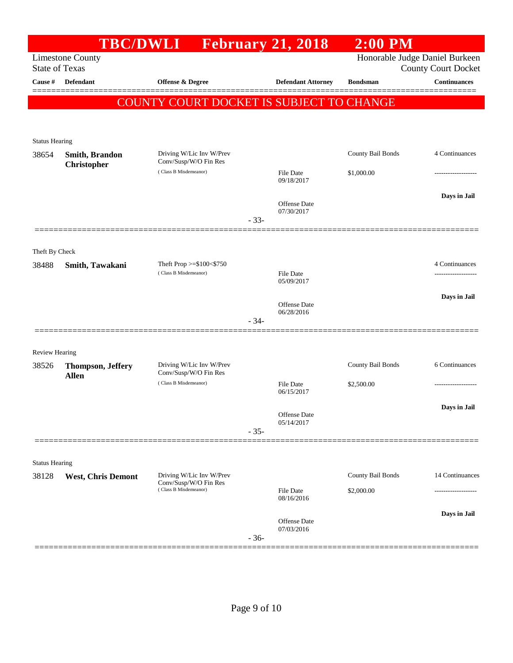|                                |                           | TBC/DWLI February 21, 2018                         |        |                                | $2:00$ PM         |                                |
|--------------------------------|---------------------------|----------------------------------------------------|--------|--------------------------------|-------------------|--------------------------------|
|                                | <b>Limestone County</b>   |                                                    |        |                                |                   | Honorable Judge Daniel Burkeen |
| <b>State of Texas</b>          |                           |                                                    |        |                                |                   | <b>County Court Docket</b>     |
| Cause #                        | Defendant                 | Offense & Degree                                   |        | <b>Defendant Attorney</b>      | <b>Bondsman</b>   | <b>Continuances</b><br>======= |
|                                |                           | COUNTY COURT DOCKET IS SUBJECT TO CHANGE           |        |                                |                   |                                |
|                                |                           |                                                    |        |                                |                   |                                |
| <b>Status Hearing</b>          |                           |                                                    |        |                                |                   |                                |
| 38654                          | <b>Smith, Brandon</b>     | Driving W/Lic Inv W/Prev                           |        |                                | County Bail Bonds | 4 Continuances                 |
|                                | <b>Christopher</b>        | Conv/Susp/W/O Fin Res                              |        |                                |                   |                                |
|                                |                           | (Class B Misdemeanor)                              |        | <b>File Date</b><br>09/18/2017 | \$1,000.00        |                                |
|                                |                           |                                                    |        |                                |                   | Days in Jail                   |
|                                |                           |                                                    |        | Offense Date<br>07/30/2017     |                   |                                |
|                                |                           |                                                    | $-33-$ |                                |                   |                                |
|                                |                           |                                                    |        |                                |                   |                                |
| Theft By Check                 |                           |                                                    |        |                                |                   |                                |
| 38488                          | Smith, Tawakani           | Theft Prop >= $$100<$750$<br>(Class B Misdemeanor) |        | <b>File Date</b>               |                   | 4 Continuances                 |
|                                |                           |                                                    |        | 05/09/2017                     |                   |                                |
|                                |                           |                                                    |        | Offense Date                   |                   | Days in Jail                   |
|                                |                           |                                                    | $-34-$ | 06/28/2016                     |                   |                                |
|                                |                           |                                                    |        |                                |                   |                                |
| <b>Review Hearing</b>          |                           |                                                    |        |                                |                   |                                |
| 38526                          | <b>Thompson, Jeffery</b>  | Driving W/Lic Inv W/Prev                           |        |                                | County Bail Bonds | 6 Continuances                 |
|                                | <b>Allen</b>              | Conv/Susp/W/O Fin Res<br>(Class B Misdemeanor)     |        | <b>File Date</b>               | \$2,500.00        |                                |
|                                |                           |                                                    |        | 06/15/2017                     |                   |                                |
|                                |                           |                                                    |        | Offense Date                   |                   | Days in Jail                   |
|                                |                           |                                                    |        | 05/14/2017                     |                   |                                |
|                                |                           |                                                    | $-35-$ |                                |                   |                                |
|                                |                           |                                                    |        |                                |                   |                                |
| <b>Status Hearing</b><br>38128 | <b>West, Chris Demont</b> | Driving W/Lic Inv W/Prev                           |        |                                | County Bail Bonds | 14 Continuances                |
|                                |                           | Conv/Susp/W/O Fin Res<br>(Class B Misdemeanor)     |        | <b>File Date</b>               | \$2,000.00        |                                |
|                                |                           |                                                    |        | 08/16/2016                     |                   |                                |
|                                |                           |                                                    |        | Offense Date                   |                   | Days in Jail                   |
|                                |                           |                                                    |        | 07/03/2016                     |                   |                                |
|                                |                           |                                                    | $-36-$ |                                |                   |                                |